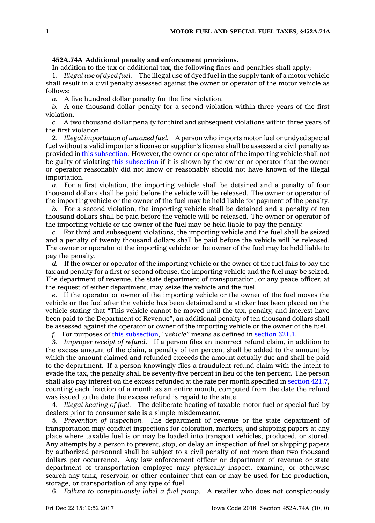## **452A.74A Additional penalty and enforcement provisions.**

In addition to the tax or additional tax, the following fines and penalties shall apply:

1. *Illegal use of dyed fuel.* The illegal use of dyed fuel in the supply tank of <sup>a</sup> motor vehicle shall result in <sup>a</sup> civil penalty assessed against the owner or operator of the motor vehicle as follows:

*a.* A five hundred dollar penalty for the first violation.

*b.* A one thousand dollar penalty for <sup>a</sup> second violation within three years of the first violation.

*c.* A two thousand dollar penalty for third and subsequent violations within three years of the first violation.

2. *Illegal importation of untaxed fuel.* A person who imports motor fuel or undyed special fuel without <sup>a</sup> valid importer's license or supplier's license shall be assessed <sup>a</sup> civil penalty as provided in this [subsection](https://www.legis.iowa.gov/docs/code/452A.74A.pdf). However, the owner or operator of the importing vehicle shall not be guilty of violating this [subsection](https://www.legis.iowa.gov/docs/code/452A.74A.pdf) if it is shown by the owner or operator that the owner or operator reasonably did not know or reasonably should not have known of the illegal importation.

*a.* For <sup>a</sup> first violation, the importing vehicle shall be detained and <sup>a</sup> penalty of four thousand dollars shall be paid before the vehicle will be released. The owner or operator of the importing vehicle or the owner of the fuel may be held liable for payment of the penalty.

*b.* For <sup>a</sup> second violation, the importing vehicle shall be detained and <sup>a</sup> penalty of ten thousand dollars shall be paid before the vehicle will be released. The owner or operator of the importing vehicle or the owner of the fuel may be held liable to pay the penalty.

*c.* For third and subsequent violations, the importing vehicle and the fuel shall be seized and <sup>a</sup> penalty of twenty thousand dollars shall be paid before the vehicle will be released. The owner or operator of the importing vehicle or the owner of the fuel may be held liable to pay the penalty.

*d.* If the owner or operator of the importing vehicle or the owner of the fuel fails to pay the tax and penalty for <sup>a</sup> first or second offense, the importing vehicle and the fuel may be seized. The department of revenue, the state department of transportation, or any peace officer, at the request of either department, may seize the vehicle and the fuel.

*e.* If the operator or owner of the importing vehicle or the owner of the fuel moves the vehicle or the fuel after the vehicle has been detained and <sup>a</sup> sticker has been placed on the vehicle stating that "This vehicle cannot be moved until the tax, penalty, and interest have been paid to the Department of Revenue", an additional penalty of ten thousand dollars shall be assessed against the operator or owner of the importing vehicle or the owner of the fuel.

*f.* For purposes of this [subsection](https://www.legis.iowa.gov/docs/code/452A.74A.pdf), *"vehicle"* means as defined in [section](https://www.legis.iowa.gov/docs/code/321.1.pdf) 321.1.

3. *Improper receipt of refund.* If <sup>a</sup> person files an incorrect refund claim, in addition to the excess amount of the claim, <sup>a</sup> penalty of ten percent shall be added to the amount by which the amount claimed and refunded exceeds the amount actually due and shall be paid to the department. If <sup>a</sup> person knowingly files <sup>a</sup> fraudulent refund claim with the intent to evade the tax, the penalty shall be seventy-five percent in lieu of the ten percent. The person shall also pay interest on the excess refunded at the rate per month specified in [section](https://www.legis.iowa.gov/docs/code/421.7.pdf) 421.7, counting each fraction of <sup>a</sup> month as an entire month, computed from the date the refund was issued to the date the excess refund is repaid to the state.

4. *Illegal heating of fuel.* The deliberate heating of taxable motor fuel or special fuel by dealers prior to consumer sale is <sup>a</sup> simple misdemeanor.

5. *Prevention of inspection.* The department of revenue or the state department of transportation may conduct inspections for coloration, markers, and shipping papers at any place where taxable fuel is or may be loaded into transport vehicles, produced, or stored. Any attempts by <sup>a</sup> person to prevent, stop, or delay an inspection of fuel or shipping papers by authorized personnel shall be subject to <sup>a</sup> civil penalty of not more than two thousand dollars per occurrence. Any law enforcement officer or department of revenue or state department of transportation employee may physically inspect, examine, or otherwise search any tank, reservoir, or other container that can or may be used for the production, storage, or transportation of any type of fuel.

6. *Failure to conspicuously label <sup>a</sup> fuel pump.* A retailer who does not conspicuously